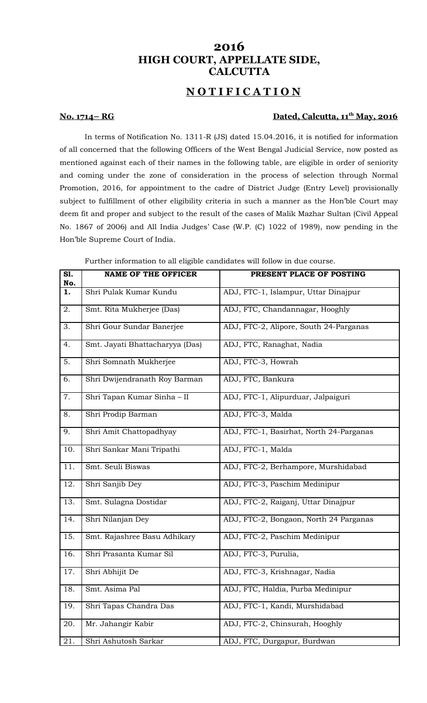## **2016 HIGH COURT, APPELLATE SIDE, CALCUTTA**

# **N O T I F I C A T I O N**

#### **No. 1714– RG Calcutta, 11<sup>th</sup> May, 2016**

In terms of Notification No. 1311-R (JS) dated 15.04.2016, it is notified for information of all concerned that the following Officers of the West Bengal Judicial Service, now posted as mentioned against each of their names in the following table, are eligible in order of seniority and coming under the zone of consideration in the process of selection through Normal Promotion, 2016, for appointment to the cadre of District Judge (Entry Level) provisionally subject to fulfillment of other eligibility criteria in such a manner as the Hon'ble Court may deem fit and proper and subject to the result of the cases of Malik Mazhar Sultan (Civil Appeal No. 1867 of 2006) and All India Judges' Case (W.P. (C) 1022 of 1989), now pending in the Hon'ble Supreme Court of India.

| S1.<br>No. | <b>NAME OF THE OFFICER</b>      | PRESENT PLACE OF POSTING                |
|------------|---------------------------------|-----------------------------------------|
| 1.         | Shri Pulak Kumar Kundu          | ADJ, FTC-1, Islampur, Uttar Dinajpur    |
| 2.         | Smt. Rita Mukherjee (Das)       | ADJ, FTC, Chandannagar, Hooghly         |
| 3.         | Shri Gour Sundar Banerjee       | ADJ, FTC-2, Alipore, South 24-Parganas  |
| 4.         | Smt. Jayati Bhattacharyya (Das) | ADJ, FTC, Ranaghat, Nadia               |
| 5.         | Shri Somnath Mukherjee          | ADJ, FTC-3, Howrah                      |
| 6.         | Shri Dwijendranath Roy Barman   | ADJ, FTC, Bankura                       |
| 7.         | Shri Tapan Kumar Sinha - II     | ADJ, FTC-1, Alipurduar, Jalpaiguri      |
| 8.         | Shri Prodip Barman              | ADJ, FTC-3, Malda                       |
| 9.         | Shri Amit Chattopadhyay         | ADJ, FTC-1, Basirhat, North 24-Parganas |
| 10.        | Shri Sankar Mani Tripathi       | ADJ, FTC-1, Malda                       |
| 11.        | Smt. Seuli Biswas               | ADJ, FTC-2, Berhampore, Murshidabad     |
| 12.        | Shri Sanjib Dey                 | ADJ, FTC-3, Paschim Medinipur           |
| 13.        | Smt. Sulagna Dostidar           | ADJ, FTC-2, Raiganj, Uttar Dinajpur     |
| 14.        | Shri Nilanjan Dey               | ADJ, FTC-2, Bongaon, North 24 Parganas  |
| 15.        | Smt. Rajashree Basu Adhikary    | ADJ, FTC-2, Paschim Medinipur           |
| 16.        | Shri Prasanta Kumar Sil         | ADJ, FTC-3, Purulia,                    |
| 17.        | Shri Abhijit De                 | ADJ, FTC-3, Krishnagar, Nadia           |
| 18.        | Smt. Asima Pal                  | ADJ, FTC, Haldia, Purba Medinipur       |
| 19.        | Shri Tapas Chandra Das          | ADJ, FTC-1, Kandi, Murshidabad          |
| 20.        | Mr. Jahangir Kabir              | ADJ, FTC-2, Chinsurah, Hooghly          |
| 21.        | Shri Ashutosh Sarkar            | ADJ, FTC, Durgapur, Burdwan             |

Further information to all eligible candidates will follow in due course.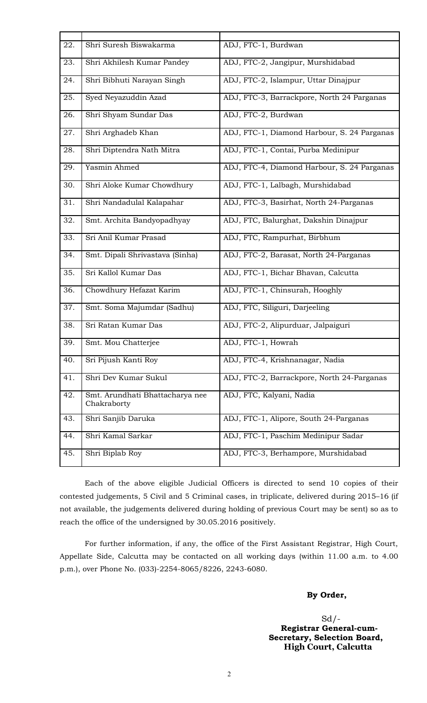| 22. | Shri Suresh Biswakarma                         | ADJ, FTC-1, Burdwan                         |
|-----|------------------------------------------------|---------------------------------------------|
| 23. | Shri Akhilesh Kumar Pandey                     | ADJ, FTC-2, Jangipur, Murshidabad           |
| 24. | Shri Bibhuti Narayan Singh                     | ADJ, FTC-2, Islampur, Uttar Dinajpur        |
| 25. | Syed Neyazuddin Azad                           | ADJ, FTC-3, Barrackpore, North 24 Parganas  |
| 26. | Shri Shyam Sundar Das                          | ADJ, FTC-2, Burdwan                         |
| 27. | Shri Arghadeb Khan                             | ADJ, FTC-1, Diamond Harbour, S. 24 Parganas |
| 28. | Shri Diptendra Nath Mitra                      | ADJ, FTC-1, Contai, Purba Medinipur         |
| 29. | Yasmin Ahmed                                   | ADJ, FTC-4, Diamond Harbour, S. 24 Parganas |
| 30. | Shri Aloke Kumar Chowdhury                     | ADJ, FTC-1, Lalbagh, Murshidabad            |
| 31. | Shri Nandadulal Kalapahar                      | ADJ, FTC-3, Basirhat, North 24-Parganas     |
| 32. | Smt. Archita Bandyopadhyay                     | ADJ, FTC, Balurghat, Dakshin Dinajpur       |
| 33. | Sri Anil Kumar Prasad                          | ADJ, FTC, Rampurhat, Birbhum                |
| 34. | Smt. Dipali Shrivastava (Sinha)                | ADJ, FTC-2, Barasat, North 24-Parganas      |
| 35. | Sri Kallol Kumar Das                           | ADJ, FTC-1, Bichar Bhavan, Calcutta         |
| 36. | Chowdhury Hefazat Karim                        | ADJ, FTC-1, Chinsurah, Hooghly              |
| 37. | Smt. Soma Majumdar (Sadhu)                     | ADJ, FTC, Siliguri, Darjeeling              |
| 38. | Sri Ratan Kumar Das                            | ADJ, FTC-2, Alipurduar, Jalpaiguri          |
| 39. | Smt. Mou Chatterjee                            | ADJ, FTC-1, Howrah                          |
| 40. | Sri Pijush Kanti Roy                           | ADJ, FTC-4, Krishnanagar, Nadia             |
| 41. | Shri Dev Kumar Sukul                           | ADJ, FTC-2, Barrackpore, North 24-Parganas  |
| 42. | Smt. Arundhati Bhattacharya nee<br>Chakraborty | ADJ, FTC, Kalyani, Nadia                    |
| 43. | Shri Sanjib Daruka                             | ADJ, FTC-1, Alipore, South 24-Parganas      |
| 44. | Shri Kamal Sarkar                              | ADJ, FTC-1, Paschim Medinipur Sadar         |
| 45. | Shri Biplab Roy                                | ADJ, FTC-3, Berhampore, Murshidabad         |

Each of the above eligible Judicial Officers is directed to send 10 copies of their contested judgements, 5 Civil and 5 Criminal cases, in triplicate, delivered during 2015–16 (if not available, the judgements delivered during holding of previous Court may be sent) so as to reach the office of the undersigned by 30.05.2016 positively.

For further information, if any, the office of the First Assistant Registrar, High Court, Appellate Side, Calcutta may be contacted on all working days (within 11.00 a.m. to 4.00 p.m.), over Phone No. (033)-2254-8065/8226, 2243-6080.

### **By Order,**

 $Sd$  /- **Registrar General-cum-Secretary, Selection Board, High Court, Calcutta**